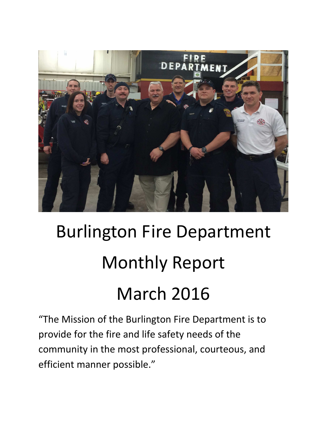

# Burlington Fire Department Monthly Report March 2016

"The Mission of the Burlington Fire Department is to provide for the fire and life safety needs of the community in the most professional, courteous, and efficient manner possible."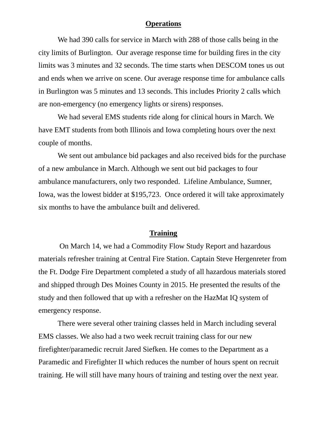#### **Operations**

We had 390 calls for service in March with 288 of those calls being in the city limits of Burlington. Our average response time for building fires in the city limits was 3 minutes and 32 seconds. The time starts when DESCOM tones us out and ends when we arrive on scene. Our average response time for ambulance calls in Burlington was 5 minutes and 13 seconds. This includes Priority 2 calls which are non-emergency (no emergency lights or sirens) responses.

We had several EMS students ride along for clinical hours in March. We have EMT students from both Illinois and Iowa completing hours over the next couple of months.

We sent out ambulance bid packages and also received bids for the purchase of a new ambulance in March. Although we sent out bid packages to four ambulance manufacturers, only two responded. Lifeline Ambulance, Sumner, Iowa, was the lowest bidder at \$195,723. Once ordered it will take approximately six months to have the ambulance built and delivered.

#### **Training**

 On March 14, we had a Commodity Flow Study Report and hazardous materials refresher training at Central Fire Station. Captain Steve Hergenreter from the Ft. Dodge Fire Department completed a study of all hazardous materials stored and shipped through Des Moines County in 2015. He presented the results of the study and then followed that up with a refresher on the HazMat IQ system of emergency response.

There were several other training classes held in March including several EMS classes. We also had a two week recruit training class for our new firefighter/paramedic recruit Jared Siefken. He comes to the Department as a Paramedic and Firefighter II which reduces the number of hours spent on recruit training. He will still have many hours of training and testing over the next year.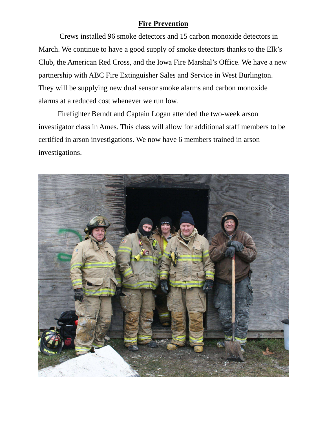### **Fire Prevention**

 Crews installed 96 smoke detectors and 15 carbon monoxide detectors in March. We continue to have a good supply of smoke detectors thanks to the Elk's Club, the American Red Cross, and the Iowa Fire Marshal's Office. We have a new partnership with ABC Fire Extinguisher Sales and Service in West Burlington. They will be supplying new dual sensor smoke alarms and carbon monoxide alarms at a reduced cost whenever we run low.

Firefighter Berndt and Captain Logan attended the two-week arson investigator class in Ames. This class will allow for additional staff members to be certified in arson investigations. We now have 6 members trained in arson investigations.

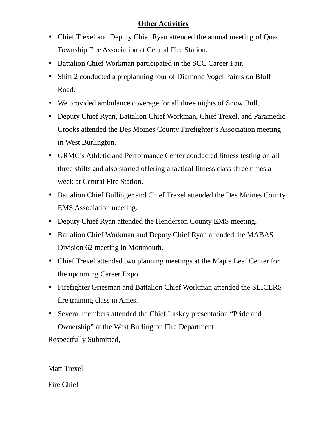# **Other Activities**

- Chief Trexel and Deputy Chief Ryan attended the annual meeting of Quad Township Fire Association at Central Fire Station.
- Battalion Chief Workman participated in the SCC Career Fair.
- Shift 2 conducted a preplanning tour of Diamond Vogel Paints on Bluff Road.
- We provided ambulance coverage for all three nights of Snow Bull.
- Deputy Chief Ryan, Battalion Chief Workman, Chief Trexel, and Paramedic Crooks attended the Des Moines County Firefighter's Association meeting in West Burlington.
- GRMC's Athletic and Performance Center conducted fitness testing on all three shifts and also started offering a tactical fitness class three times a week at Central Fire Station.
- Battalion Chief Bullinger and Chief Trexel attended the Des Moines County EMS Association meeting.
- Deputy Chief Ryan attended the Henderson County EMS meeting.
- Battalion Chief Workman and Deputy Chief Ryan attended the MABAS Division 62 meeting in Monmouth.
- Chief Trexel attended two planning meetings at the Maple Leaf Center for the upcoming Career Expo.
- Firefighter Griesman and Battalion Chief Workman attended the SLICERS fire training class in Ames.
- Several members attended the Chief Laskey presentation "Pride and Ownership" at the West Burlington Fire Department.

Respectfully Submitted,

Matt Trexel Fire Chief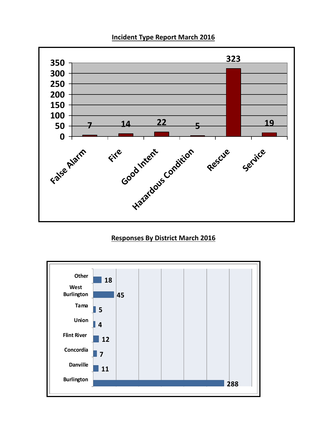### **Incident Type Report March 2016**



## **Responses By District March 2016**

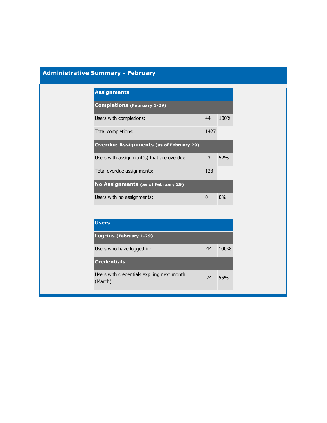## **Administrative Summary - February**

| <b>Assignments</b>                             |      |      |
|------------------------------------------------|------|------|
| <b>Completions (February 1-29)</b>             |      |      |
| Users with completions:                        | 44   | 100% |
| Total completions:                             | 1427 |      |
| <b>Overdue Assignments (as of February 29)</b> |      |      |
| Users with assignment(s) that are overdue:     | 23   | 52%  |
| Total overdue assignments:                     | 123  |      |
| No Assignments (as of February 29)             |      |      |
| Users with no assignments:                     | ŋ    | 0%   |

| <b>Users</b>                                           |    |         |
|--------------------------------------------------------|----|---------|
| Log-ins (February 1-29)                                |    |         |
| Users who have logged in:                              | 44 | $100\%$ |
| <b>Credentials</b>                                     |    |         |
| Users with credentials expiring next month<br>(March): | 24 | 55%     |